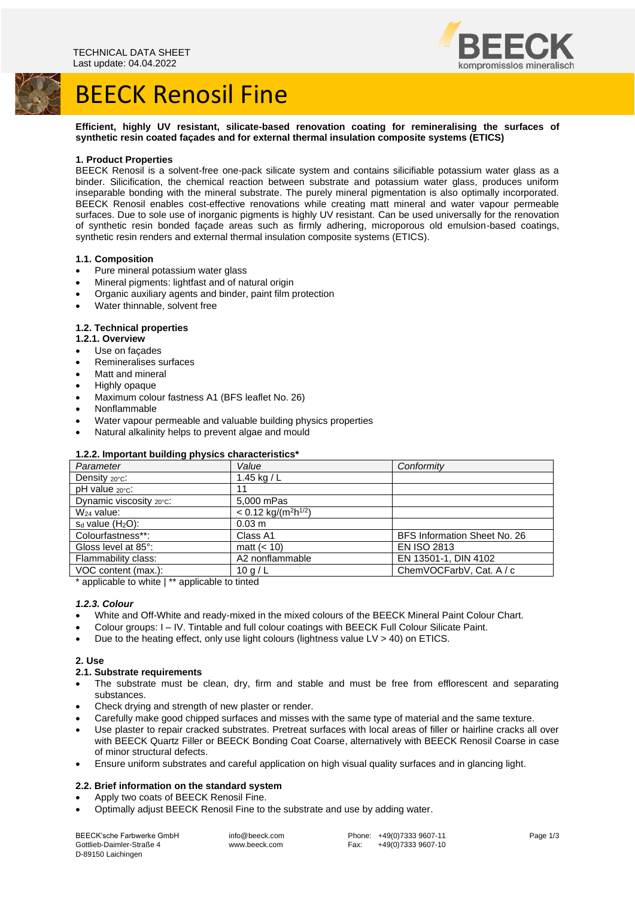

## BEECK Renosil Fine



**Efficient, highly UV resistant, silicate-based renovation coating for remineralising the surfaces of synthetic resin coated façades and for external thermal insulation composite systems (ETICS)**

#### **1. Product Properties**

BEECK Renosil is a solvent-free one-pack silicate system and contains silicifiable potassium water glass as a binder. Silicification, the chemical reaction between substrate and potassium water glass, produces uniform inseparable bonding with the mineral substrate. The purely mineral pigmentation is also optimally incorporated. BEECK Renosil enables cost-effective renovations while creating matt mineral and water vapour permeable surfaces. Due to sole use of inorganic pigments is highly UV resistant. Can be used universally for the renovation of synthetic resin bonded façade areas such as firmly adhering, microporous old emulsion-based coatings, synthetic resin renders and external thermal insulation composite systems (ETICS).

#### **1.1. Composition**

- Pure mineral potassium water glass
- Mineral pigments: lightfast and of natural origin
- Organic auxiliary agents and binder, paint film protection
- Water thinnable, solvent free

#### **1.2. Technical properties**

- **1.2.1. Overview**
- Use on facades
- Remineralises surfaces
- Matt and mineral
- Highly opaque
- Maximum colour fastness A1 (BFS leaflet No. 26)
- Nonflammable
- Water vapour permeable and valuable building physics properties
- Natural alkalinity helps to prevent algae and mould

#### **1.2.2. Important building physics characteristics\***

| Parameter                  | Value                                          | Conformity                   |
|----------------------------|------------------------------------------------|------------------------------|
| Density 20°C:              | 1.45 kg / $L$                                  |                              |
| $pH$ value $20^{\circ}$ c: | 11                                             |                              |
| Dynamic viscosity 20°C:    | 5,000 mPas                                     |                              |
| $W24$ value:               | $< 0.12$ kg/(m <sup>2</sup> h <sup>1/2</sup> ) |                              |
| $s_d$ value $(H_2O)$ :     | $0.03 \; m$                                    |                              |
| Colourfastness**:          | Class A1                                       | BFS Information Sheet No. 26 |
| Gloss level at 85°:        | matt $(< 10)$                                  | <b>EN ISO 2813</b>           |
| Flammability class:        | A2 nonflammable                                | EN 13501-1, DIN 4102         |
| VOC content (max.):        | 10q/L                                          | ChemVOCFarbV, Cat. A / c     |

\* applicable to white | \*\* applicable to tinted

#### *1.2.3. Colour*

- White and Off-White and ready-mixed in the mixed colours of the BEECK Mineral Paint Colour Chart.
- Colour groups: I IV. Tintable and full colour coatings with BEECK Full Colour Silicate Paint.
- Due to the heating effect, only use light colours (lightness value LV > 40) on ETICS.

## **2. Use**

#### **2.1. Substrate requirements**

- The substrate must be clean, dry, firm and stable and must be free from efflorescent and separating substances.
- Check drying and strength of new plaster or render.
- Carefully make good chipped surfaces and misses with the same type of material and the same texture.
- Use plaster to repair cracked substrates. Pretreat surfaces with local areas of filler or hairline cracks all over with BEECK Quartz Filler or BEECK Bonding Coat Coarse, alternatively with BEECK Renosil Coarse in case of minor structural defects.
- Ensure uniform substrates and careful application on high visual quality surfaces and in glancing light.

## **2.2. Brief information on the standard system**

- Apply two coats of BEECK Renosil Fine.
- Optimally adjust BEECK Renosil Fine to the substrate and use by adding water.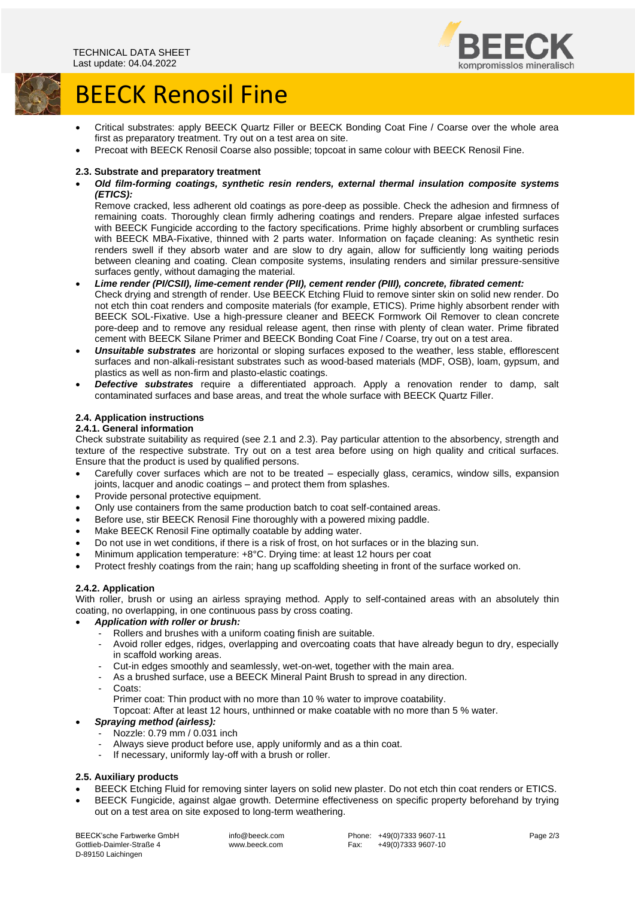

# **BEECK Renosil Fine**



- Critical substrates: apply BEECK Quartz Filler or BEECK Bonding Coat Fine / Coarse over the whole area first as preparatory treatment. Try out on a test area on site.
- Precoat with BEECK Renosil Coarse also possible; topcoat in same colour with BEECK Renosil Fine.

#### **2.3. Substrate and preparatory treatment**

• *Old film-forming coatings, synthetic resin renders, external thermal insulation composite systems (ETICS):*

Remove cracked, less adherent old coatings as pore-deep as possible. Check the adhesion and firmness of remaining coats. Thoroughly clean firmly adhering coatings and renders. Prepare algae infested surfaces with BEECK Fungicide according to the factory specifications. Prime highly absorbent or crumbling surfaces with BEECK MBA-Fixative, thinned with 2 parts water. Information on façade cleaning: As synthetic resin renders swell if they absorb water and are slow to dry again, allow for sufficiently long waiting periods between cleaning and coating. Clean composite systems, insulating renders and similar pressure-sensitive surfaces gently, without damaging the material.

- *Lime render (PI/CSII), lime-cement render (PII), cement render (PIII), concrete, fibrated cement:* Check drying and strength of render. Use BEECK Etching Fluid to remove sinter skin on solid new render. Do not etch thin coat renders and composite materials (for example, ETICS). Prime highly absorbent render with BEECK SOL-Fixative. Use a high-pressure cleaner and BEECK Formwork Oil Remover to clean concrete pore-deep and to remove any residual release agent, then rinse with plenty of clean water. Prime fibrated cement with BEECK Silane Primer and BEECK Bonding Coat Fine / Coarse, try out on a test area.
- *Unsuitable substrates* are horizontal or sloping surfaces exposed to the weather, less stable, efflorescent surfaces and non-alkali-resistant substrates such as wood-based materials (MDF, OSB), loam, gypsum, and plastics as well as non-firm and plasto-elastic coatings.
- *Defective substrates* require a differentiated approach. Apply a renovation render to damp, salt contaminated surfaces and base areas, and treat the whole surface with BEECK Quartz Filler.

#### **2.4. Application instructions**

#### **2.4.1. General information**

Check substrate suitability as required (see 2.1 and 2.3). Pay particular attention to the absorbency, strength and texture of the respective substrate. Try out on a test area before using on high quality and critical surfaces. Ensure that the product is used by qualified persons.

- Carefully cover surfaces which are not to be treated especially glass, ceramics, window sills, expansion joints, lacquer and anodic coatings – and protect them from splashes.
- Provide personal protective equipment.
- Only use containers from the same production batch to coat self-contained areas.
- Before use, stir BEECK Renosil Fine thoroughly with a powered mixing paddle.
- Make BEECK Renosil Fine optimally coatable by adding water.
- Do not use in wet conditions, if there is a risk of frost, on hot surfaces or in the blazing sun.
- Minimum application temperature: +8°C. Drying time: at least 12 hours per coat
- Protect freshly coatings from the rain; hang up scaffolding sheeting in front of the surface worked on.

## **2.4.2. Application**

With roller, brush or using an airless spraying method. Apply to self-contained areas with an absolutely thin coating, no overlapping, in one continuous pass by cross coating.

- *Application with roller or brush:*
	- Rollers and brushes with a uniform coating finish are suitable.
	- Avoid roller edges, ridges, overlapping and overcoating coats that have already begun to dry, especially in scaffold working areas.
	- Cut-in edges smoothly and seamlessly, wet-on-wet, together with the main area.
	- As a brushed surface, use a BEECK Mineral Paint Brush to spread in any direction.
	- Coats:
		- Primer coat: Thin product with no more than 10 % water to improve coatability.

Topcoat: After at least 12 hours, unthinned or make coatable with no more than 5 % water.

#### • *Spraying method (airless):*

- Nozzle: 0.79 mm / 0.031 inch
- Always sieve product before use, apply uniformly and as a thin coat.
- If necessary, uniformly lay-off with a brush or roller.

## **2.5. Auxiliary products**

- BEECK Etching Fluid for removing sinter layers on solid new plaster. Do not etch thin coat renders or ETICS.
- BEECK Fungicide, against algae growth. Determine effectiveness on specific property beforehand by trying out on a test area on site exposed to long-term weathering.